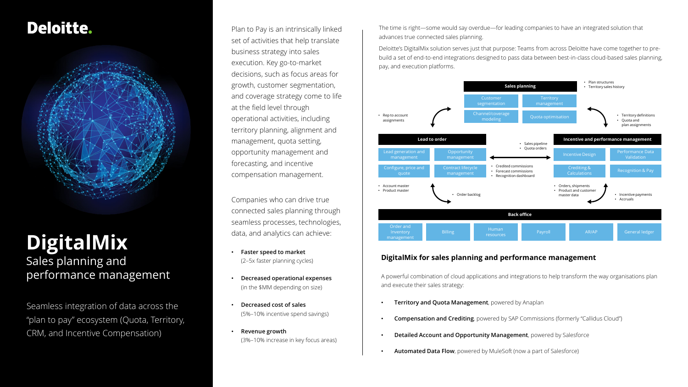# **Deloitte.**

# **DigitalMix**

## Sales planning and performance management

Seamless integration of data across the "plan to pay" ecosystem (Quota, Territory, CRM, and Incentive Compensation)

Plan to Pay is an intrinsically linked set of activities that help translate business strategy into sales execution. Key go-to-market decisions, such as focus areas for growth, customer segmentation, and coverage strategy come to life at the field level through operational activities, including territory planning, alignment and management, quota setting, opportunity management and forecasting, and incentive compensation management.

Companies who can drive true connected sales planning through seamless processes, technologies, data, and analytics can achieve:

- **Faster speed to market**  (2–5x faster planning cycles)
- **Decreased operational expenses** (in the \$MM depending on size)
- **Decreased cost of sales**  (5%–10% incentive spend savings)
- **Revenue growth** (3%–10% increase in key focus areas)

The time is right—some would say overdue—for leading companies to have an integrated solution that advances true connected sales planning.

Deloitte's DigitalMix solution serves just that purpose: Teams from across Deloitte have come together to prebuild a set of end-to-end integrations designed to pass data between best-in-class cloud-based sales planning, pay, and execution platforms.



#### **DigitalMix for sales planning and performance management**

A powerful combination of cloud applications and integrations to help transform the way organisations plan and execute their sales strategy:

- **Territory and Quota Management**, powered by Anaplan
- **Compensation and Crediting**, powered by SAP Commissions (formerly "Callidus Cloud")
- **Detailed Account and Opportunity Management**, powered by Salesforce
- **Automated Data Flow**, powered by MuleSoft (now a part of Salesforce)